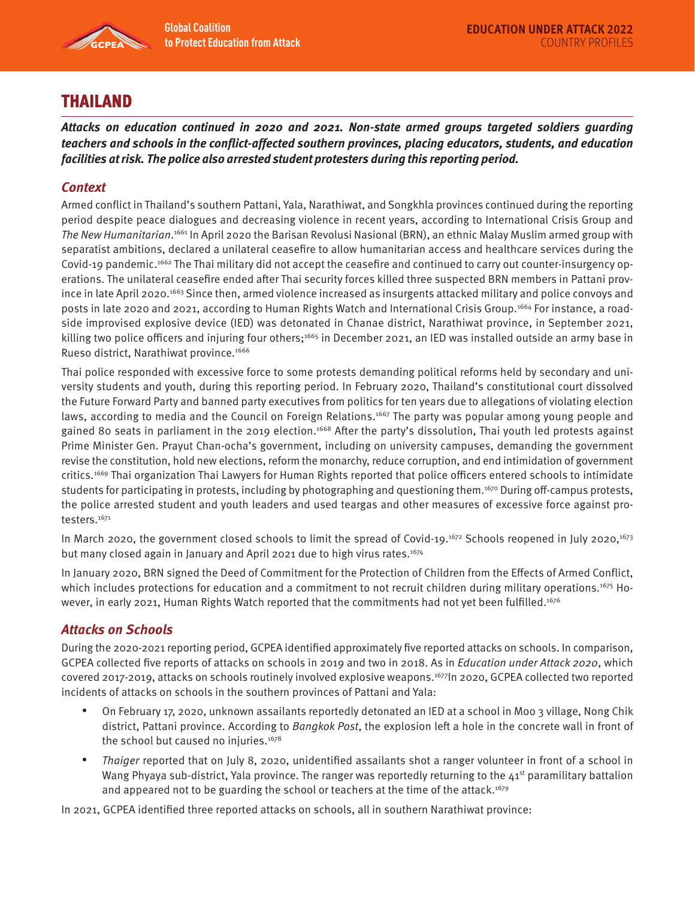

## THAILAND

**Attacks on education continued in 2020 and 2021. Non-state armed groups targeted soldiers guarding teachers and schools in the conflict-affected southern provinces, placing educators, students, and education facilities at risk. The police also arrested student protesters during this reporting period.** 

## **Context**

Armed conflict in Thailand's southern Pattani, Yala, Narathiwat, and Songkhla provinces continued during the reporting period despite peace dialogues and decreasing violence in recent years, according to International Crisis Group and The New Humanitarian. 1661 In April 2020 the Barisan Revolusi Nasional (BRN), an ethnic Malay Muslim armed group with separatist ambitions, declared a unilateral ceasefire to allow humanitarian access and healthcare services during the Covid-19 pandemic.<sup>1662</sup> The Thai military did not accept the ceasefire and continued to carry out counter-insurgency operations. The unilateral ceasefire ended after Thai security forces killed three suspected BRN members in Pattani province in late April 2020.1663 Since then, armed violence increased as insurgents attacked military and police convoys and posts in late 2020 and 2021, according to Human Rights Watch and International Crisis Group.1664 For instance, a roadside improvised explosive device (IED) was detonated in Chanae district, Narathiwat province, in September 2021, killing two police officers and injuring four others;<sup>1665</sup> in December 2021, an IED was installed outside an army base in Rueso district, Narathiwat province.<sup>1666</sup>

Thai police responded with excessive force to some protests demanding political reforms held by secondary and university students and youth, during this reporting period. In February 2020, Thailand's constitutional court dissolved the Future Forward Party and banned party executives from politics for ten years due to allegations of violating election laws, according to media and the Council on Foreign Relations.<sup>1667</sup> The party was popular among young people and gained 80 seats in parliament in the 2019 election.<sup>1668</sup> After the party's dissolution, Thai youth led protests against Prime Minister Gen. Prayut Chan-ocha's government, including on university campuses, demanding the government revise the constitution, hold new elections, reform the monarchy, reduce corruption, and end intimidation of government critics.1669 Thai organization Thai Lawyers for Human Rights reported that police officers entered schools to intimidate students for participating in protests, including by photographing and questioning them.<sup>1670</sup> During off-campus protests, the police arrested student and youth leaders and used teargas and other measures of excessive force against protesters.<sup>1671</sup>

In March 2020, the government closed schools to limit the spread of Covid-19.<sup>1672</sup> Schools reopened in July 2020,<sup>1673</sup> but many closed again in January and April 2021 due to high virus rates.<sup>1674</sup>

In January 2020, BRN signed the Deed of Commitment for the Protection of Children from the Effects of Armed Conflict, which includes protections for education and a commitment to not recruit children during military operations.<sup>1675</sup> However, in early 2021, Human Rights Watch reported that the commitments had not yet been fulfilled.<sup>1676</sup>

## **Attacks on Schools**

During the 2020-2021 reporting period, GCPEA identified approximately five reported attacks on schools. In comparison, GCPEA collected five reports of attacks on schools in 2019 and two in 2018. As in Education under Attack 2020, which covered 2017-2019, attacks on schools routinely involved explosive weapons.1677In 2020, GCPEA collected two reported incidents of attacks on schools in the southern provinces of Pattani and Yala:

- On February 17, 2020, unknown assailants reportedly detonated an IED at a school in Moo 3 village, Nong Chik district, Pattani province. According to Bangkok Post, the explosion left a hole in the concrete wall in front of the school but caused no injuries.<sup>1678</sup>
- Thaiger reported that on July 8, 2020, unidentified assailants shot a ranger volunteer in front of a school in Wang Phyaya sub-district, Yala province. The ranger was reportedly returning to the  $41<sup>st</sup>$  paramilitary battalion and appeared not to be guarding the school or teachers at the time of the attack.<sup>1679</sup>

In 2021, GCPEA identified three reported attacks on schools, all in southern Narathiwat province: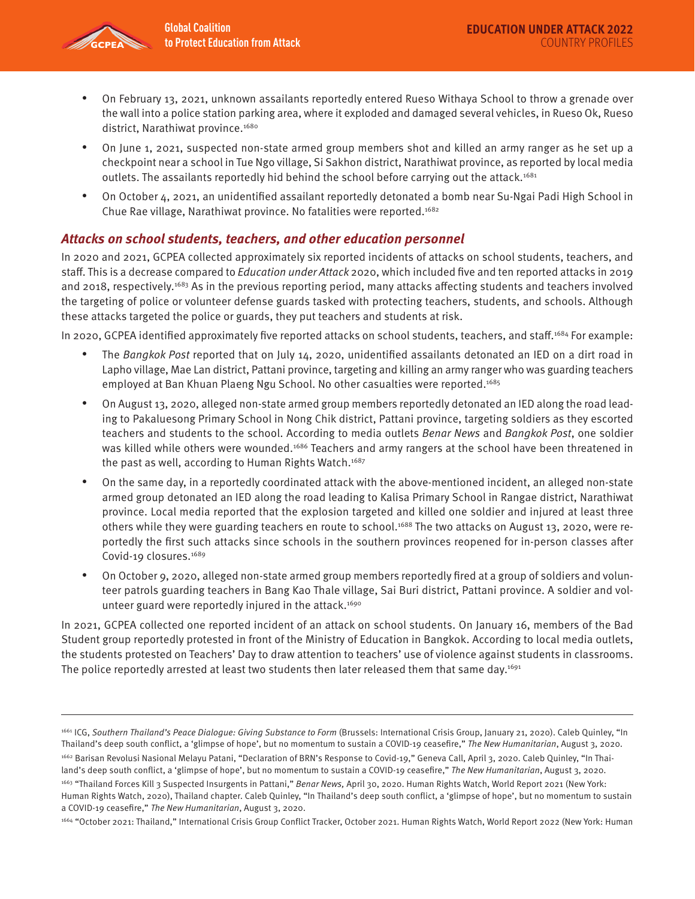

- On February 13, 2021, unknown assailants reportedly entered Rueso Withaya School to throw a grenade over the wall into a police station parking area, where it exploded and damaged several vehicles, in Rueso Ok, Rueso district, Narathiwat province.<sup>1680</sup>
- On June 1, 2021, suspected non-state armed group members shot and killed an army ranger as he set up a checkpoint near a school in Tue Ngo village, Si Sakhon district, Narathiwat province, as reported by local media outlets. The assailants reportedly hid behind the school before carrying out the attack.<sup>1681</sup>
- On October 4, 2021, an unidentified assailant reportedly detonated a bomb near Su-Ngai Padi High School in Chue Rae village, Narathiwat province. No fatalities were reported.<sup>1682</sup>

## **Attacks on school students, teachers, and other education personnel**

In 2020 and 2021, GCPEA collected approximately six reported incidents of attacks on school students, teachers, and staff. This is a decrease compared to Education under Attack 2020, which included five and ten reported attacks in 2019 and 2018, respectively.<sup>1683</sup> As in the previous reporting period, many attacks affecting students and teachers involved the targeting of police or volunteer defense guards tasked with protecting teachers, students, and schools. Although these attacks targeted the police or guards, they put teachers and students at risk.

In 2020, GCPEA identified approximately five reported attacks on school students, teachers, and staff.<sup>1684</sup> For example:

- The Bangkok Post reported that on July 14, 2020, unidentified assailants detonated an IED on a dirt road in Lapho village, Mae Lan district, Pattani province, targeting and killing an army ranger who was guarding teachers employed at Ban Khuan Plaeng Ngu School. No other casualties were reported.<sup>1685</sup>
- On August 13, 2020, alleged non-state armed group members reportedly detonated an IED along the road leading to Pakaluesong Primary School in Nong Chik district, Pattani province, targeting soldiers as they escorted teachers and students to the school. According to media outlets Benar News and Bangkok Post, one soldier was killed while others were wounded.<sup>1686</sup> Teachers and army rangers at the school have been threatened in the past as well, according to Human Rights Watch.<sup>1687</sup>
- On the same day, in a reportedly coordinated attack with the above-mentioned incident, an alleged non-state armed group detonated an IED along the road leading to Kalisa Primary School in Rangae district, Narathiwat province. Local media reported that the explosion targeted and killed one soldier and injured at least three others while they were guarding teachers en route to school.1688 The two attacks on August 13, 2020, were reportedly the first such attacks since schools in the southern provinces reopened for in-person classes after Covid-19 closures.<sup>1689</sup>
- On October 9, 2020, alleged non-state armed group members reportedly fired at a group of soldiers and volunteer patrols guarding teachers in Bang Kao Thale village, Sai Buri district, Pattani province. A soldier and volunteer guard were reportedly injured in the attack.<sup>1690</sup>

In 2021, GCPEA collected one reported incident of an attack on school students. On January 16, members of the Bad Student group reportedly protested in front of the Ministry of Education in Bangkok. According to local media outlets, the students protested on Teachers' Day to draw attention to teachers' use of violence against students in classrooms. The police reportedly arrested at least two students then later released them that same day.<sup>1691</sup>

<sup>1661</sup> ICG, Southern Thailand's Peace Dialogue: Giving Substance to Form (Brussels: International Crisis Group, January 21, 2020). Caleb Quinley, "In Thailand's deep south conflict, a 'glimpse of hope', but no momentum to sustain a COVID-19 ceasefire," The New Humanitarian, August 3, 2020. 1662 Barisan Revolusi Nasional Melayu Patani, "Declaration of BRN's Response to Covid-19," Geneva Call, April 3, 2020. Caleb Quinley, "In Thailand's deep south conflict, a 'glimpse of hope', but no momentum to sustain a COVID-19 ceasefire," The New Humanitarian, August 3, 2020. 1663 "Thailand Forces Kill 3 Suspected Insurgents in Pattani," Benar News, April 30, 2020. Human Rights Watch, World Report 2021 (New York: Human Rights Watch, 2020), Thailand chapter. Caleb Quinley, "In Thailand's deep south conflict, a 'glimpse of hope', but no momentum to sustain a COVID-19 ceasefire," The New Humanitarian, August 3, 2020.

<sup>1664 &</sup>quot;October 2021: Thailand," International Crisis Group Conflict Tracker, October 2021. Human Rights Watch, World Report 2022 (New York: Human